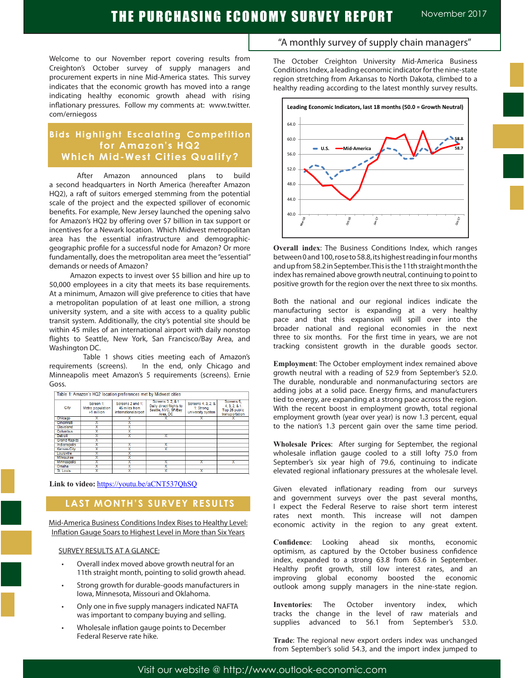# THE PURCHASING ECONOMY SURVEY REPORT Movember 2017

Welcome to our November report covering results from Creighton's October survey of supply managers and procurement experts in nine Mid-America states. This survey indicates that the economic growth has moved into a range indicating healthy economic growth ahead with rising inflationary pressures. Follow my comments at: www.twitter. com/erniegoss

## **Bids Highlight Escalating Competition for Amazon's HQ2 Which Mid-West Cities Qualify?**

After Amazon announced plans to build a second headquarters in North America (hereafter Amazon HQ2), a raft of suitors emerged stemming from the potential scale of the project and the expected spillover of economic benefits. For example, New Jersey launched the opening salvo for Amazon's HQ2 by offering over \$7 billion in tax support or incentives for a Newark location. Which Midwest metropolitan area has the essential infrastructure and demographicgeographic profile for a successful node for Amazon? Or more fundamentally, does the metropolitan area meet the "essential" demands or needs of Amazon?

 Amazon expects to invest over \$5 billion and hire up to 50,000 employees in a city that meets its base requirements. At a minimum, Amazon will give preference to cities that have a metropolitan population of at least one million, a strong university system, and a site with access to a quality public transit system. Additionally, the city's potential site should be within 45 miles of an international airport with daily nonstop flights to Seattle, New York, San Francisco/Bay Area, and Washington DC.

 Table 1 shows cities meeting each of Amazon's requirements (screens). In the end, only Chicago and Minneapolis meet Amazon's 5 requirements (screens). Ernie Goss.

| Table 1: Amazon's HQ2 location preferences met by Midwest cities |                                             |                                                            |                                                                                  |                                                      |                                                                 |  |  |  |  |
|------------------------------------------------------------------|---------------------------------------------|------------------------------------------------------------|----------------------------------------------------------------------------------|------------------------------------------------------|-----------------------------------------------------------------|--|--|--|--|
| City                                                             | Screen 1:<br>Metro population<br>>1 million | Screens 2 and 1:<br>45 miles from<br>international airport | Screens 3, 2, & 1<br>Daily direct flights to<br>Seattle, NYC, SF/Bay<br>Area, DC | Screens 4, 3, 2, &<br>1: Strong<br>university system | Screens 5.<br>4, 3, 2, 8, 1;<br>Top 25 public<br>transportation |  |  |  |  |
| Chicago                                                          |                                             |                                                            |                                                                                  |                                                      |                                                                 |  |  |  |  |
| Cincinnati                                                       |                                             |                                                            |                                                                                  |                                                      |                                                                 |  |  |  |  |
| Cleveland                                                        |                                             |                                                            |                                                                                  |                                                      |                                                                 |  |  |  |  |
| Columbus                                                         |                                             |                                                            |                                                                                  |                                                      |                                                                 |  |  |  |  |
| Detroit                                                          |                                             |                                                            |                                                                                  |                                                      |                                                                 |  |  |  |  |
| <b>Grand Rapids</b>                                              |                                             |                                                            |                                                                                  |                                                      |                                                                 |  |  |  |  |
| <b>Indianapolis</b>                                              |                                             |                                                            |                                                                                  |                                                      |                                                                 |  |  |  |  |
| <b>Kansas City</b>                                               |                                             |                                                            |                                                                                  |                                                      |                                                                 |  |  |  |  |
| Louisville                                                       |                                             |                                                            |                                                                                  |                                                      |                                                                 |  |  |  |  |
| Milwaukee                                                        |                                             |                                                            |                                                                                  |                                                      |                                                                 |  |  |  |  |
| <b>Minneapolis</b>                                               |                                             |                                                            |                                                                                  |                                                      |                                                                 |  |  |  |  |
| Omaha                                                            |                                             |                                                            |                                                                                  |                                                      |                                                                 |  |  |  |  |
| St. Louis                                                        |                                             |                                                            |                                                                                  |                                                      |                                                                 |  |  |  |  |

**Link to video:** https://youtu.be/aCNT537QhSQ

## **LAST MONTH'S SURVEY RESULTS**

Mid-America Business Conditions Index Rises to Healthy Level: Inflation Gauge Soars to Highest Level in More than Six Years

#### SURVEY RESULTS AT A GLANCE:

- Overall index moved above growth neutral for an 11th straight month, pointing to solid growth ahead.
- Strong growth for durable-goods manufacturers in Iowa, Minnesota, Missouri and Oklahoma.
- Only one in five supply managers indicated NAFTA was important to company buying and selling.
- Wholesale inflation gauge points to December Federal Reserve rate hike.

### "A monthly survey of supply chain managers"

The October Creighton University Mid-America Business Conditions Index, a leading economic indicator for the nine-state region stretching from Arkansas to North Dakota, climbed to a healthy reading according to the latest monthly survey results.



**Overall index**: The Business Conditions Index, which ranges between 0 and 100, rose to 58.8, its highest reading in four months and up from 58.2 in September. This is the 11th straight month the index has remained above growth neutral, continuing to point to positive growth for the region over the next three to six months.

Both the national and our regional indices indicate the manufacturing sector is expanding at a very healthy pace and that this expansion will spill over into the broader national and regional economies in the next three to six months. For the first time in years, we are not tracking consistent growth in the durable goods sector.

**Employment**: The October employment index remained above growth neutral with a reading of 52.9 from September's 52.0. The durable, nondurable and nonmanufacturing sectors are adding jobs at a solid pace. Energy firms, and manufacturers tied to energy, are expanding at a strong pace across the region. With the recent boost in employment growth, total regional employment growth (year over year) is now 1.3 percent, equal to the nation's 1.3 percent gain over the same time period.

**Wholesale Prices**: After surging for September, the regional wholesale inflation gauge cooled to a still lofty 75.0 from September's six year high of 79.6, continuing to indicate elevated regional inflationary pressures at the wholesale level.

Given elevated inflationary reading from our surveys and government surveys over the past several months, I expect the Federal Reserve to raise short term interest rates next month. This increase will not dampen economic activity in the region to any great extent.

**Confidence**: Looking ahead six months, economic optimism, as captured by the October business confidence index, expanded to a strong 63.8 from 63.6 in September. Healthy profit growth, still low interest rates, and an improving global economy boosted the economic outlook among supply managers in the nine-state region.

**Inventories**: The October inventory index, which tracks the change in the level of raw materials and supplies advanced to 56.1 from September's 53.0.

**Trade**: The regional new export orders index was unchanged from September's solid 54.3, and the import index jumped to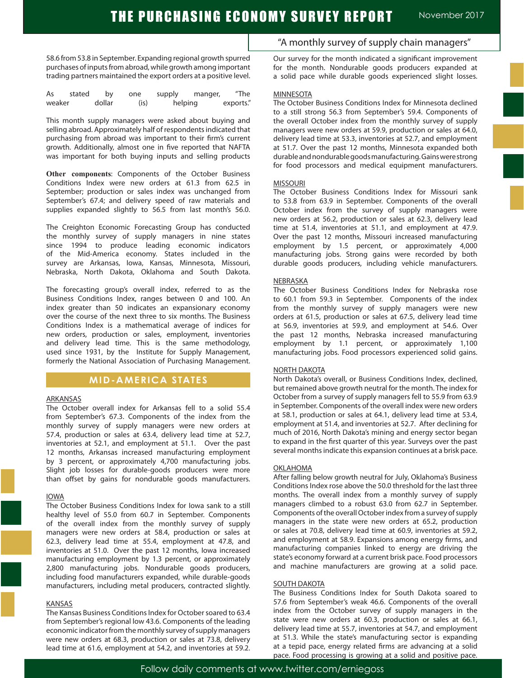58.6 from 53.8 in September. Expanding regional growth spurred purchases of inputs from abroad, while growth among important trading partners maintained the export orders at a positive level.

| As     | stated | b٧     | one     | supply  | manger, | $^{\prime\prime}$ The |
|--------|--------|--------|---------|---------|---------|-----------------------|
| weaker |        | dollar | $($ is) | helping |         | exports."             |

This month supply managers were asked about buying and selling abroad. Approximately half of respondents indicated that purchasing from abroad was important to their firm's current growth. Additionally, almost one in five reported that NAFTA was important for both buying inputs and selling products

**Other components**: Components of the October Business Conditions Index were new orders at 61.3 from 62.5 in September; production or sales index was unchanged from September's 67.4; and delivery speed of raw materials and supplies expanded slightly to 56.5 from last month's 56.0.

The Creighton Economic Forecasting Group has conducted the monthly survey of supply managers in nine states since 1994 to produce leading economic indicators of the Mid-America economy. States included in the survey are Arkansas, Iowa, Kansas, Minnesota, Missouri, Nebraska, North Dakota, Oklahoma and South Dakota.

The forecasting group's overall index, referred to as the Business Conditions Index, ranges between 0 and 100. An index greater than 50 indicates an expansionary economy over the course of the next three to six months. The Business Conditions Index is a mathematical average of indices for new orders, production or sales, employment, inventories and delivery lead time. This is the same methodology, used since 1931, by the Institute for Supply Management, formerly the National Association of Purchasing Management.

### **MID-AMERICA STATES**

#### **ARKANSAS**

The October overall index for Arkansas fell to a solid 55.4 from September's 67.3. Components of the index from the monthly survey of supply managers were new orders at 57.4, production or sales at 63.4, delivery lead time at 52.7, inventories at 52.1, and employment at 51.1. Over the past 12 months, Arkansas increased manufacturing employment by 3 percent, or approximately 4,700 manufacturing jobs. Slight job losses for durable-goods producers were more than offset by gains for nondurable goods manufacturers.

#### IOWA

The October Business Conditions Index for Iowa sank to a still healthy level of 55.0 from 60.7 in September. Components of the overall index from the monthly survey of supply managers were new orders at 58.4, production or sales at 62.3, delivery lead time at 55.4, employment at 47.8, and inventories at 51.0. Over the past 12 months, Iowa increased manufacturing employment by 1.3 percent, or approximately 2,800 manufacturing jobs. Nondurable goods producers, including food manufacturers expanded, while durable-goods manufacturers, including metal producers, contracted slightly.

#### KANSAS

The Kansas Business Conditions Index for October soared to 63.4 from September's regional low 43.6. Components of the leading economic indicator from the monthly survey of supply managers were new orders at 68.3, production or sales at 73.8, delivery lead time at 61.6, employment at 54.2, and inventories at 59.2.

"A monthly survey of supply chain managers"

Our survey for the month indicated a significant improvement for the month. Nondurable goods producers expanded at a solid pace while durable goods experienced slight losses.

#### **MINNESOTA**

The October Business Conditions Index for Minnesota declined to a still strong 56.3 from September's 59.4. Components of the overall October index from the monthly survey of supply managers were new orders at 59.9, production or sales at 64.0, delivery lead time at 53.3, inventories at 52.7, and employment at 51.7. Over the past 12 months, Minnesota expanded both durable and nondurable goods manufacturing. Gains were strong for food processors and medical equipment manufacturers.

#### MISSOURI

The October Business Conditions Index for Missouri sank to 53.8 from 63.9 in September. Components of the overall October index from the survey of supply managers were new orders at 56.2, production or sales at 62.3, delivery lead time at 51.4, inventories at 51.1, and employment at 47.9. Over the past 12 months, Missouri increased manufacturing employment by 1.5 percent, or approximately 4,000 manufacturing jobs. Strong gains were recorded by both durable goods producers, including vehicle manufacturers.

#### NEBRASKA

The October Business Conditions Index for Nebraska rose to 60.1 from 59.3 in September. Components of the index from the monthly survey of supply managers were new orders at 61.5, production or sales at 67.5, delivery lead time at 56.9, inventories at 59.9, and employment at 54.6. Over the past 12 months, Nebraska increased manufacturing employment by 1.1 percent, or approximately 1,100 manufacturing jobs. Food processors experienced solid gains.

#### NORTH DAKOTA

North Dakota's overall, or Business Conditions Index, declined, but remained above growth neutral for the month. The index for October from a survey of supply managers fell to 55.9 from 63.9 in September. Components of the overall index were new orders at 58.1, production or sales at 64.1, delivery lead time at 53.4, employment at 51.4, and inventories at 52.7. After declining for much of 2016, North Dakota's mining and energy sector began to expand in the first quarter of this year. Surveys over the past several months indicate this expansion continues at a brisk pace.

#### OKLAHOMA

After falling below growth neutral for July, Oklahoma's Business Conditions Index rose above the 50.0 threshold for the last three months. The overall index from a monthly survey of supply managers climbed to a robust 63.0 from 62.7 in September. Components of the overall October index from a survey of supply managers in the state were new orders at 65.2, production or sales at 70.8, delivery lead time at 60.9, inventories at 59.2, and employment at 58.9. Expansions among energy firms, and manufacturing companies linked to energy are driving the state's economy forward at a current brisk pace. Food processors and machine manufacturers are growing at a solid pace.

#### SOUTH DAKOTA

The Business Conditions Index for South Dakota soared to 57.6 from September's weak 46.6. Components of the overall index from the October survey of supply managers in the state were new orders at 60.3, production or sales at 66.1, delivery lead time at 55.7, inventories at 54.7, and employment at 51.3. While the state's manufacturing sector is expanding at a tepid pace, energy related firms are advancing at a solid pace. Food processing is growing at a solid and positive pace.

Follow daily comments at www.twitter.com/erniegoss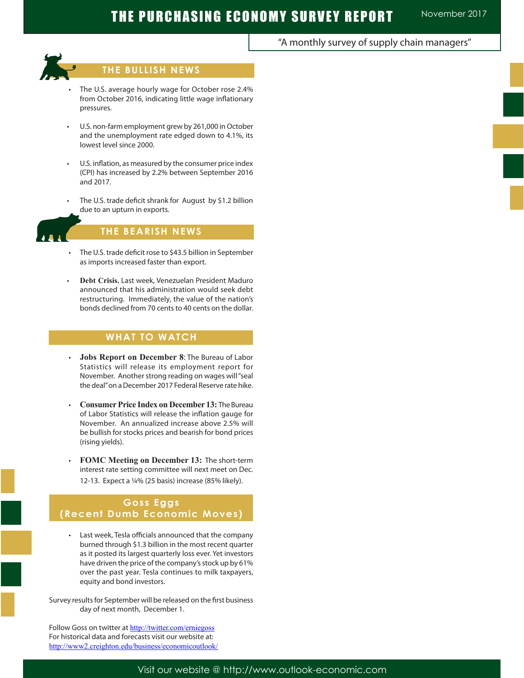## "A monthly survey of supply chain managers"



Ĩ

## **THE BULLISH NEWS**

- The U.S. average hourly wage for October rose 2.4% from October 2016, indicating little wage inflationary pressures.
- U.S. non-farm employment grew by 261,000 in October and the unemployment rate edged down to 4.1%, its lowest level since 2000.
- U.S. inflation, as measured by the consumer price index (CPI) has increased by 2.2% between September 2016 and 2017.
- The U.S. trade deficit shrank for August by \$1.2 billion due to an upturn in exports.

## **THE BEARISH NEWS**

- The U.S. trade deficit rose to \$43.5 billion in September as imports increased faster than export.
- **Debt Crisis.** Last week, Venezuelan President Maduro announced that his administration would seek debt restructuring. Immediately, the value of the nation's bonds declined from 70 cents to 40 cents on the dollar.

## **WHAT TO WATCH**

- • **Jobs Report on December 8**: The Bureau of Labor Statistics will release its employment report for November. Another strong reading on wages will "seal the deal" on a December 2017 Federal Reserve rate hike.
- **Consumer Price Index on December 13: The Bureau** of Labor Statistics will release the inflation gauge for November. An annualized increase above 2.5% will be bullish for stocks prices and bearish for bond prices (rising yields).
- **FOMC Meeting on December 13: The short-term** interest rate setting committee will next meet on Dec. 12-13. Expect a ¼% (25 basis) increase (85% likely).

## **Goss Eggs (Recent Dumb Economic Moves)**

Last week, Tesla officials announced that the company burned through \$1.3 billion in the most recent quarter as it posted its largest quarterly loss ever. Yet investors have driven the price of the company's stock up by 61% over the past year. Tesla continues to milk taxpayers, equity and bond investors.

Survey results for September will be released on the first business day of next month, December 1.

Follow Goss on twitter at http://twitter.com/erniegoss For historical data and forecasts visit our website at: http://www2.creighton.edu/business/economicoutlook/